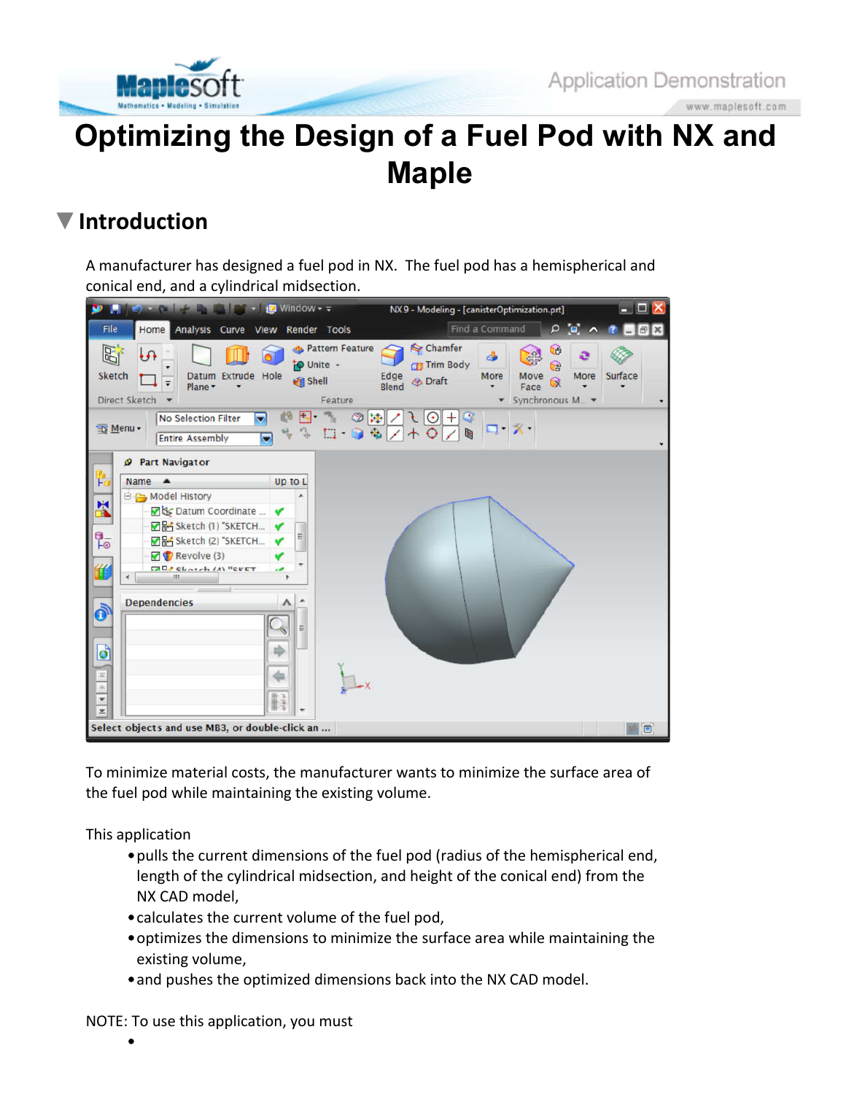

www.maplesoft.com

# **Optimizing the Design of a Fuel Pod with NX and Maple**

## **Introduction**

A manufacturer has designed a fuel pod in NX. The fuel pod has a hemispherical and conical end, and a cylindrical midsection.



To minimize material costs, the manufacturer wants to minimize the surface area of the fuel pod while maintaining the existing volume.

This application

- pulls the current dimensions of the fuel pod (radius of the hemispherical end, length of the cylindrical midsection, and height of the conical end) from the NX CAD model,
- calculates the current volume of the fuel pod,
- optimizes the dimensions to minimize the surface area while maintaining the existing volume,
- and pushes the optimized dimensions back into the NX CAD model.

NOTE: To use this application, you must

•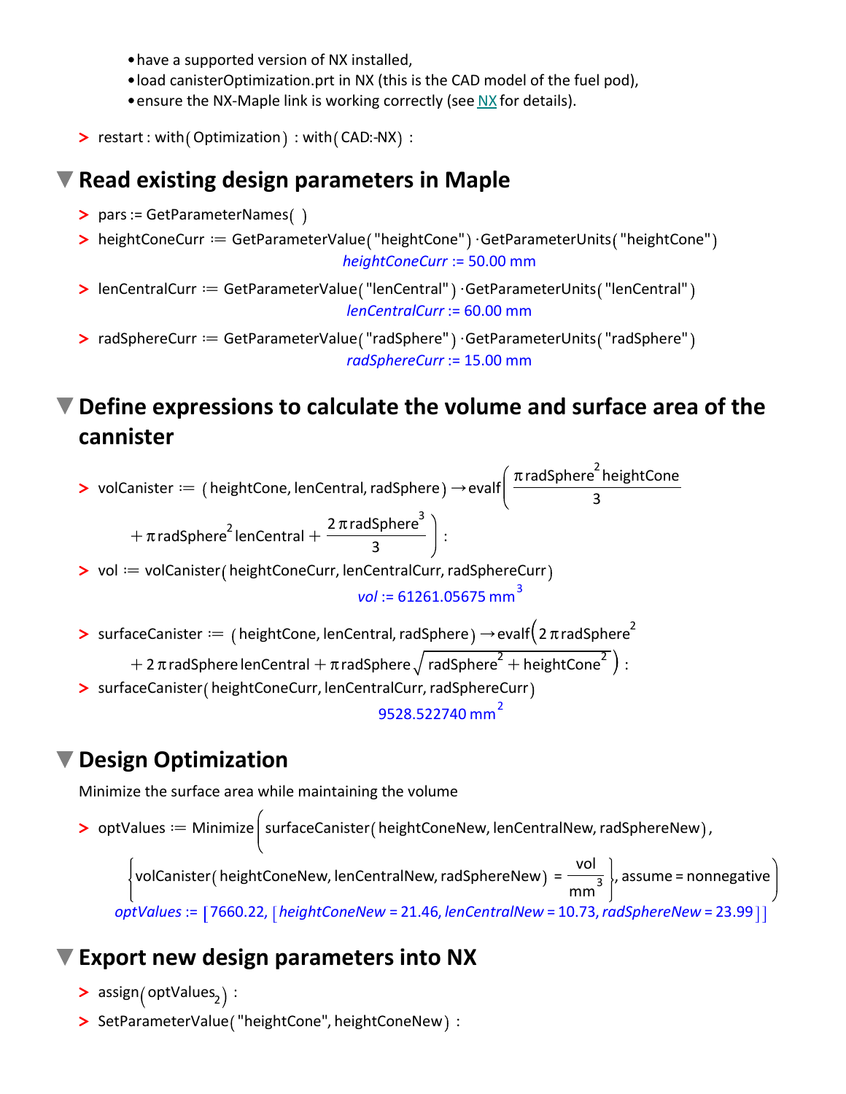- have a supported version of NX installed,
- load canisterOptimization.prt in NX (this is the CAD model of the fuel pod),
- ensure the NX-Maple link is working correctly (see NX for details).
- **>** restart : with (Optimization) : with (CAD:-NX) :

### **Read existing design parameters in Maple**

- **>** pars:= GetParameterNames
- > heightConeCurr == GetParameterValue ("heightCone") · GetParameterUnits ("heightCone" *heightConeCurr* := 50.00 mm
- > lenCentralCurr == GetParameterValue ("lenCentral" ) · GetParameterUnits ("lenCentral" *lenCentralCurr* := 60.00 mm
- > radSphereCurr == GetParameterValue ("radSphere") · GetParameterUnits ("radSphere" *radSphereCurr* := 15.00 mm

## **Define expressions to calculate the volume and surface area of the cannister**



## **Design Optimization**

Minimize the surface area while maintaining the volume

> optValues := Minimize | surfaceCanister ( heightConeNew, lenCentralNew, radSphereNew ), volCanister ( heightConeNew, lenCentralNew, radSphereNew ) =  $\frac{\text{vol}}{\text{vol}}$  $\frac{1}{\text{mm}^3}$ , assume = nonnegative *optValues* := 7660.22, *heightConeNew* = 21.46, *lenCentralNew* = 10.73,*radSphereNew* = 23.99

#### **Export new design parameters into NX**

- > assign<sub>(</sub>optValues<sub>2</sub>):
- **>** SetParameterValue "heightCone", heightConeNew :